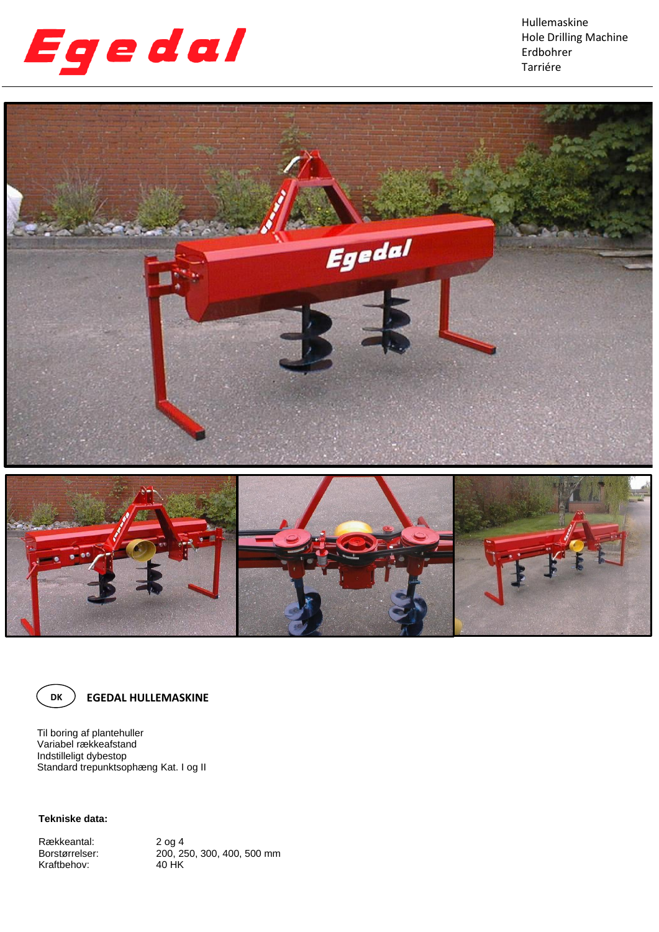

Hullemaskine Hole Drilling Machine Erdbohrer Tarriére





**EGEDAL HULLEMASKINE**

Til boring af plantehuller Variabel rækkeafstand Indstilleligt dybestop Standard trepunktsophæng Kat. I og II

**Tekniske data:**

Rækkeantal:<br>Borstørrelser: Kraftbehov:

2 og 4<br>200, 250, 300, 400, 500 mm<br>40 HK